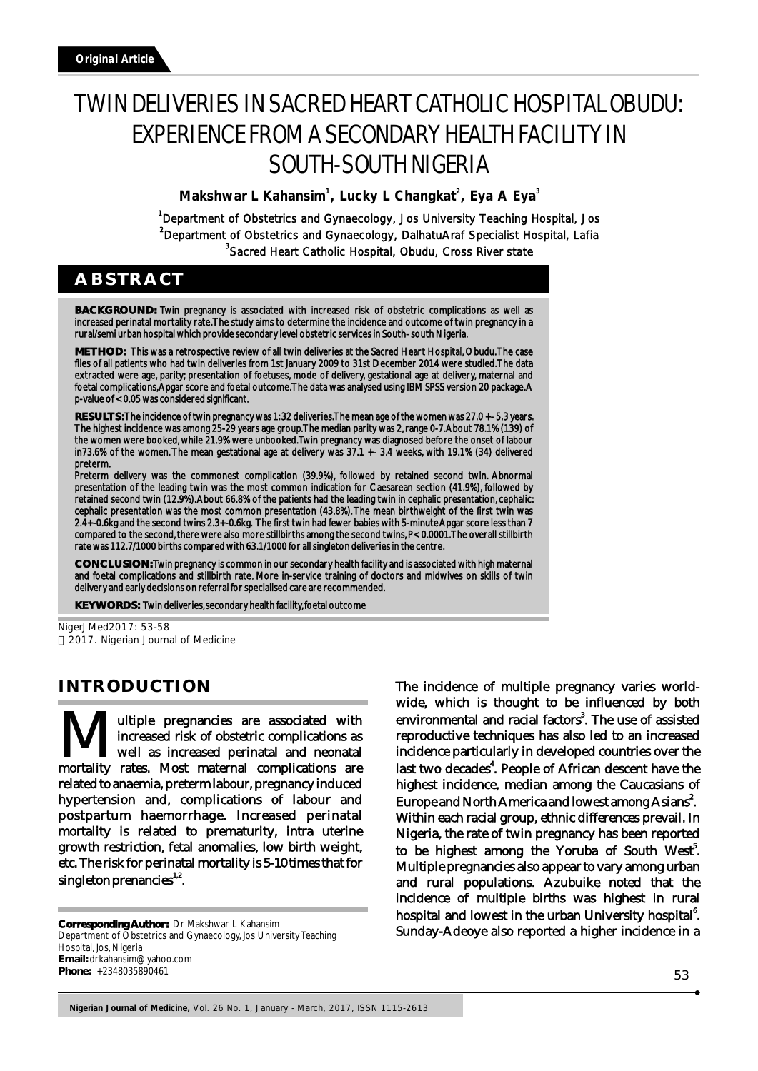# TWIN DELIVERIES IN SACRED HEART CATHOLIC HOSPITAL OBUDU: EXPERIENCE FROM A SECONDARY HEALTH FACILITY IN SOUTH-SOUTH NIGERIA

**Makshwar L Kahansim<sup>1</sup>, Lucky L Changkat<sup>2</sup>, Eya A Eya<sup>3</sup>** 

<sup>1</sup>Department of Obstetrics and Gynaecology, Jos University Teaching Hospital, Jos <sup>2</sup>Department of Obstetrics and Gynaecology, DalhatuAraf Specialist Hospital, Lafia <sup>3</sup>Sacred Heart Catholic Hospital, Obudu, Cross River state

# **ABSTRACT**

**BACKGROUND:** Twin pregnancy is associated with increased risk of obstetric complications as well as increased perinatal mortality rate. The study aims to determine the incidence and outcome of twin pregnancy in a rural/semi urban hospital which provide secondary level obstetric services in South- south Nigeria.

**METHOD:** This was a retrospective review of all twin deliveries at the Sacred Heart Hospital, Obudu. The case files of all patients who had twin deliveries from 1st January 2009 to 31st December 2014 were studied. The data extracted were age, parity; presentation of foetuses, mode of delivery, gestational age at delivery, maternal and foetal complications, Apgar score and foetal outcome. The data was analysed using IBM SPSS version 20 package. A p-value of < 0.05 was considered significant.

**RESULTS:** The incidence of twin pregnancy was 1: 32 deliveries. The mean age of the women was 27.0 +- 5.3 years. The highest incidence was among 25-29 years age group. The median parity was 2, range 0-7. About 78.1% (139) of the women were booked, while 21.9% were unbooked. Twin pregnancy was diagnosed before the onset of labour in73.6% of the women. The mean gestational age at delivery was 37.1 +- 3.4 weeks, with 19.1% (34) delivered preterm.

Preterm delivery was the commonest complication (39.9%), followed by retained second twin. Abnormal presentation of the leading twin was the most common indication for Caesarean section (41.9%), followed by retained second twin (12.9%). About 66.8% of the patients had the leading twin in cephalic presentation, cephalic: cephalic presentation was the most common presentation (43.8%). The mean birthweight of the first twin was 2.4+-0.6kg and the second twins 2.3+-0.6kg. The first twin had fewer babies with 5-minute Apgar score less than 7 compared to the second, there were also more stillbirths among the second twins, P< 0.0001. The overall stillbirth rate was 112.7/1000 births compared with 63.1/1000 for all singleton deliveries in the centre.

**CONCLUSION:** Twin pregnancy is common in our secondary health facility and is associated with high maternal and foetal complications and stillbirth rate. More in-service training of doctors and midwives on skills of twin delivery and early decisions on referral for specialised care are recommended.

**KEYWORDS:** Twin deliveries, secondary health facility, foetal outcome

NigerJMed2017: 53-58 2017. Nigerian Journal of Medicine

## **INTRODUCTION**

**M**Increased risk of obstetric complications as well as increased perinatal and neonatal mortality rates. Most maternal complications are well as increased perinatal and neonatal related to anaemia, preterm labour, pregnancy induced hypertension and, complications of labour and postpartum haemorrhage. Increased perinatal mortality is related to prematurity, intra uterine growth restriction, fetal anomalies, low birth weight, etc. The risk for perinatal mortality is 5-10 times that for singleton prenancies $1.2$ .

**Corresponding Author:**  Dr Makshwar L Kahansim Department of Obstetrics and Gynaecology, Jos University Teaching Hospital, Jos, Nigeria **Email:** drkahansim@yahoo.com **Phone:** +2348035890461

The incidence of multiple pregnancy varies worldwide, which is thought to be influenced by both environmental and racial factors<sup>3</sup>. The use of assisted reproductive techniques has also led to an increased incidence particularly in developed countries over the last two decades<sup>4</sup>. People of African descent have the highest incidence, median among the Caucasians of Europe and North America and lowest among Asians<sup>2</sup>. Within each racial group, ethnic differences prevail. In Nigeria, the rate of twin pregnancy has been reported to be highest among the Yoruba of South West<sup>5</sup>. Multiple pregnancies also appear to vary among urban and rural populations. Azubuike noted that the incidence of multiple births was highest in rural hospital and lowest in the urban University hospital<sup>6</sup>. Sunday-Adeoye also reported a higher incidence in a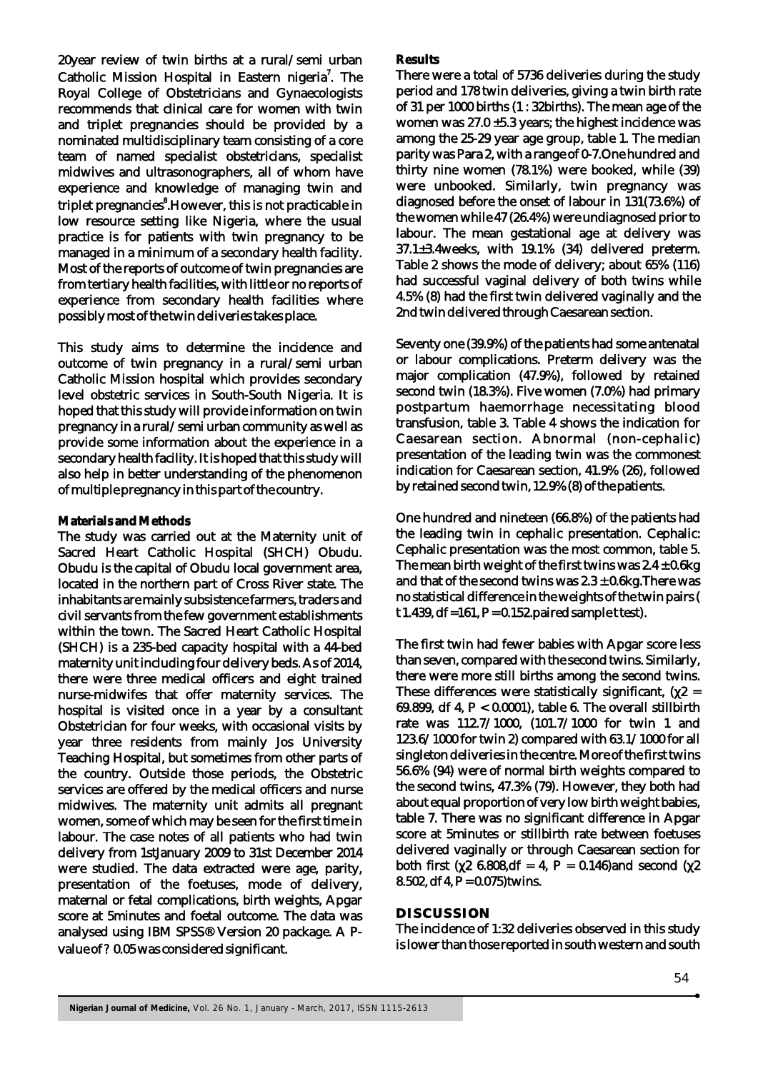20year review of twin births at a rural/semi urban Catholic Mission Hospital in Eastern nigeria<sup>7</sup>. The Royal College of Obstetricians and Gynaecologists recommends that clinical care for women with twin and triplet pregnancies should be provided by a nominated multidisciplinary team consisting of a core team of named specialist obstetricians, specialist midwives and ultrasonographers, all of whom have experience and knowledge of managing twin and triplet pregnancies<sup>8</sup>.However, this is not practicable in low resource setting like Nigeria, where the usual practice is for patients with twin pregnancy to be managed in a minimum of a secondary health facility. Most of the reports of outcome of twin pregnancies are from tertiary health facilities, with little or no reports of experience from secondary health facilities where possibly most of the twin deliveries takes place.

This study aims to determine the incidence and outcome of twin pregnancy in a rural/semi urban Catholic Mission hospital which provides secondary level obstetric services in South-South Nigeria. It is hoped that this study will provide information on twin pregnancy in a rural/semi urban community as well as provide some information about the experience in a secondary health facility. It is hoped that this study will also help in better understanding of the phenomenon of multiple pregnancy in this part of the country.

#### **Materials and Methods**

The study was carried out at the Maternity unit of Sacred Heart Catholic Hospital (SHCH) Obudu. Obudu is the capital of Obudu local government area, located in the northern part of Cross River state. The inhabitants are mainly subsistence farmers, traders and civil servants from the few government establishments within the town. The Sacred Heart Catholic Hospital (SHCH) is a 235-bed capacity hospital with a 44-bed maternity unit including four delivery beds. As of 2014, there were three medical officers and eight trained nurse-midwifes that offer maternity services. The hospital is visited once in a year by a consultant Obstetrician for four weeks, with occasional visits by year three residents from mainly Jos University Teaching Hospital, but sometimes from other parts of the country. Outside those periods, the Obstetric services are offered by the medical officers and nurse midwives. The maternity unit admits all pregnant women, some of which may be seen for the first time in labour. The case notes of all patients who had twin delivery from 1stJanuary 2009 to 31st December 2014 were studied. The data extracted were age, parity, presentation of the foetuses, mode of delivery, maternal or fetal complications, birth weights, Apgar score at 5minutes and foetal outcome. The data was analysed using IBM SPSS® Version 20 package. A Pvalue of ? 0.05 was considered significant.

#### **Results**

There were a total of 5736 deliveries during the study period and 178 twin deliveries, giving a twin birth rate of 31 per 1000 births (1 : 32births). The mean age of the women was 27.0 ±5.3 years; the highest incidence was among the 25-29 year age group, table 1. The median parity was Para 2, with a range of 0-7.One hundred and thirty nine women (78.1%) were booked, while (39) were unbooked. Similarly, twin pregnancy was diagnosed before the onset of labour in 131(73.6%) of the women while 47 (26.4%) were undiagnosed prior to labour. The mean gestational age at delivery was 37.1±3.4weeks, with 19.1% (34) delivered preterm. Table 2 shows the mode of delivery; about 65% (116) had successful vaginal delivery of both twins while 4.5% (8) had the first twin delivered vaginally and the 2nd twin delivered through Caesarean section.

Seventy one (39.9%) of the patients had some antenatal or labour complications. Preterm delivery was the major complication (47.9%), followed by retained second twin (18.3%). Five women (7.0%) had primary postpartum haemorrhage necessitating blood transfusion, table 3. Table 4 shows the indication for Caesarean section. Abnormal (non-cephalic) presentation of the leading twin was the commonest indication for Caesarean section, 41.9% (26), followed by retained second twin, 12.9% (8) of the patients.

One hundred and nineteen (66.8%) of the patients had the leading twin in cephalic presentation. Cephalic: Cephalic presentation was the most common, table 5. The mean birth weight of the first twins was  $2.4 \pm 0.6$ kg and that of the second twins was  $2.3 \pm 0.6$ kg. There was no statistical difference in the weights of the twin pairs ( t 1.439, df = 161, P = 0.152, paired sample t test).

The first twin had fewer babies with Apgar score less than seven, compared with the second twins. Similarly, there were more still births among the second twins. These differences were statistically significant, ( $2 =$ 69.899, df 4, P < 0.0001), table 6. The overall stillbirth rate was 112.7/1000, (101.7/1000 for twin 1 and 123.6/1000 for twin 2) compared with 63.1/1000 for all singleton deliveries in the centre. More of the first twins 56.6% (94) were of normal birth weights compared to the second twins, 47.3% (79). However, they both had about equal proportion of very low birth weight babies, table 7. There was no significant difference in Apgar score at 5minutes or stillbirth rate between foetuses delivered vaginally or through Caesarean section for both first ( $26.808$ ,df = 4, P = 0.146)and second ( $2$ 8.502, df 4,  $P = 0.075$ ) twins.

#### **DISCUSSION**

The incidence of 1:32 deliveries observed in this study is lower than those reported in south western and south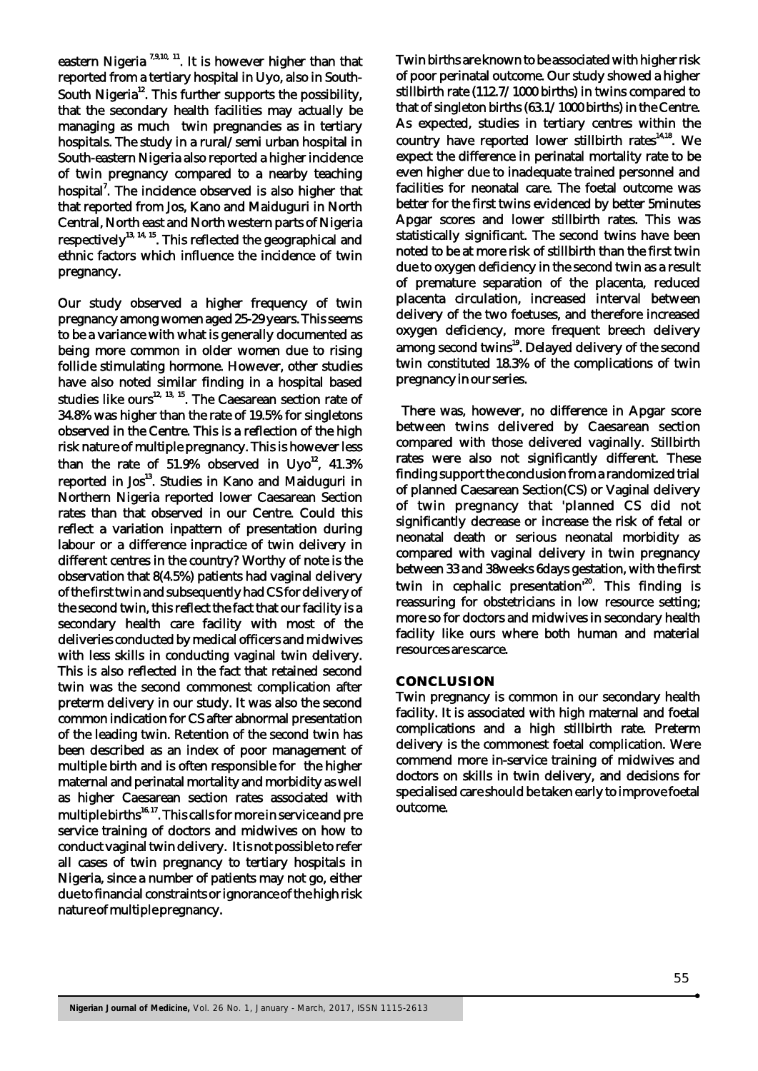eastern Nigeria<sup>7,9,10, 11</sup>. It is however higher than that reported from a tertiary hospital in Uyo, also in South-South Nigeria<sup>12</sup>. This further supports the possibility, that the secondary health facilities may actually be managing as much twin pregnancies as in tertiary hospitals. The study in a rural/semi urban hospital in South-eastern Nigeria also reported a higher incidence of twin pregnancy compared to a nearby teaching hospital<sup>7</sup>. The incidence observed is also higher that that reported from Jos, Kano and Maiduguri in North Central, North east and North western parts of Nigeria respectively<sup>13, 14, 15</sup>. This reflected the geographical and ethnic factors which influence the incidence of twin pregnancy.

Our study observed a higher frequency of twin pregnancy among women aged 25-29 years. This seems to be a variance with what is generally documented as being more common in older women due to rising follicle stimulating hormone. However, other studies have also noted similar finding in a hospital based studies like ours<sup>12, 13, 15</sup>. The Caesarean section rate of 34.8% was higher than the rate of 19.5% for singletons observed in the Centre. This is a reflection of the high risk nature of multiple pregnancy. This is however less than the rate of  $51.9\%$  observed in Uyo<sup>12</sup>,  $41.3\%$ reported in Jos<sup>13</sup>. Studies in Kano and Maiduguri in Northern Nigeria reported lower Caesarean Section rates than that observed in our Centre. Could this reflect a variation inpattern of presentation during labour or a difference inpractice of twin delivery in different centres in the country? Worthy of note is the observation that 8(4.5%) patients had vaginal delivery of the first twin and subsequently had CS for delivery of the second twin, this reflect the fact that our facility is a secondary health care facility with most of the deliveries conducted by medical officers and midwives with less skills in conducting vaginal twin delivery. This is also reflected in the fact that retained second twin was the second commonest complication after preterm delivery in our study. It was also the second common indication for CS after abnormal presentation of the leading twin. Retention of the second twin has been described as an index of poor management of multiple birth and is often responsible for the higher maternal and perinatal mortality and morbidity as well as higher Caesarean section rates associated with multiple births $16, 17$ . This calls for more in service and pre service training of doctors and midwives on how to conduct vaginal twin delivery. It is not possible to refer all cases of twin pregnancy to tertiary hospitals in Nigeria, since a number of patients may not go, either due to financial constraints or ignorance of the high risk nature of multiple pregnancy.

Twin births are known to be associated with higher risk of poor perinatal outcome. Our study showed a higher stillbirth rate (112.7/1000 births) in twins compared to that of singleton births (63.1/1000 births) in the Centre. As expected, studies in tertiary centres within the country have reported lower stillbirth rates<sup>14,18</sup>. We expect the difference in perinatal mortality rate to be even higher due to inadequate trained personnel and facilities for neonatal care. The foetal outcome was better for the first twins evidenced by better 5minutes Apgar scores and lower stillbirth rates. This was statistically significant. The second twins have been noted to be at more risk of stillbirth than the first twin due to oxygen deficiency in the second twin as a result of premature separation of the placenta, reduced placenta circulation, increased interval between delivery of the two foetuses, and therefore increased oxygen deficiency, more frequent breech delivery among second twins<sup>19</sup>. Delayed delivery of the second twin constituted 18.3% of the complications of twin pregnancy in our series.

 There was, however, no difference in Apgar score between twins delivered by Caesarean section compared with those delivered vaginally. Stillbirth rates were also not significantly different. These finding support the conclusion from a randomized trial of planned Caesarean Section(CS) or Vaginal delivery of twin pregnancy that 'planned CS did not significantly decrease or increase the risk of fetal or neonatal death or serious neonatal morbidity as compared with vaginal delivery in twin pregnancy between 33 and 38weeks 6days gestation, with the first twin in cephalic presentation<sup>20</sup>. This finding is reassuring for obstetricians in low resource setting; more so for doctors and midwives in secondary health facility like ours where both human and material resources are scarce.

#### **CONCLUSION**

Twin pregnancy is common in our secondary health facility. It is associated with high maternal and foetal complications and a high stillbirth rate. Preterm delivery is the commonest foetal complication. Were commend more in-service training of midwives and doctors on skills in twin delivery, and decisions for specialised care should be taken early to improve foetal outcome.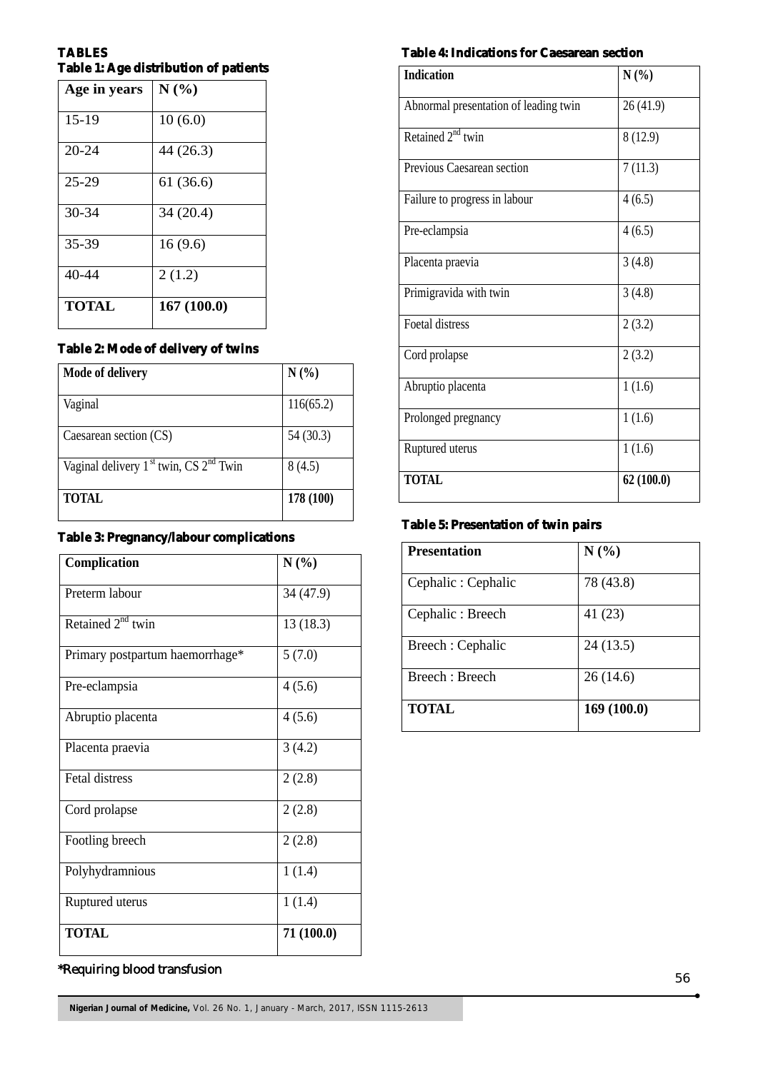## **TABLES Table 1: Age distribution of patients**

| Age in years | N(%)       |
|--------------|------------|
| $15-19$      | 10(6.0)    |
| $20 - 24$    | 44 (26.3)  |
| $25 - 29$    | 61 (36.6)  |
| 30-34        | 34(20.4)   |
| 35-39        | 16(9.6)    |
| 40-44        | 2(1.2)     |
| <b>TOTAL</b> | 167(100.0) |

## **Table 2: Mode of delivery of twins**

| Mode of delivery                           | $N(\%)$   |
|--------------------------------------------|-----------|
| Vaginal                                    | 116(65.2) |
| Caesarean section (CS)                     | 54 (30.3) |
| Vaginal delivery $1st$ twin, CS $2nd$ Twin | 8(4.5)    |
| <b>TOTAL</b>                               | 178 (100) |

## **Table 3: Pregnancy/labour complications**

| Complication                    | N(%)       |
|---------------------------------|------------|
| Preterm labour                  | 34 (47.9)  |
| Retained $2^{nd}$ twin          | 13(18.3)   |
| Primary postpartum haemorrhage* | 5(7.0)     |
| Pre-eclampsia                   | 4(5.6)     |
| Abruptio placenta               | 4(5.6)     |
| Placenta praevia                | 3(4.2)     |
| Fetal distress                  | 2(2.8)     |
| Cord prolapse                   | 2(2.8)     |
| Footling breech                 | 2(2.8)     |
| Polyhydramnious                 | 1(1.4)     |
| Ruptured uterus                 | 1(1.4)     |
| <b>TOTAL</b>                    | 71 (100.0) |

# \*Requiring blood transfusion

### **Table 4: Indications for Caesarean section**

| <b>Indication</b>                     | N(%)      |
|---------------------------------------|-----------|
| Abnormal presentation of leading twin | 26(41.9)  |
| Retained 2 <sup>nd</sup> twin         | 8(12.9)   |
| Previous Caesarean section            | 7(11.3)   |
| Failure to progress in labour         | 4(6.5)    |
| Pre-eclampsia                         | 4(6.5)    |
| Placenta praevia                      | 3(4.8)    |
| Primigravida with twin                | 3(4.8)    |
| Foetal distress                       | 2(3.2)    |
| Cord prolapse                         | 2(3.2)    |
| Abruptio placenta                     | 1(1.6)    |
| Prolonged pregnancy                   | 1(1.6)    |
| Ruptured uterus                       | 1(1.6)    |
| <b>TOTAL</b>                          | 62(100.0) |

#### **Table 5: Presentation of twin pairs**

| <b>Presentation</b> | N(%)       |
|---------------------|------------|
| Cephalic: Cephalic  | 78 (43.8)  |
| Cephalic: Breech    | 41 (23)    |
| Breech: Cephalic    | 24 (13.5)  |
| Breech: Breech      | 26(14.6)   |
| <b>TOTAL</b>        | 169(100.0) |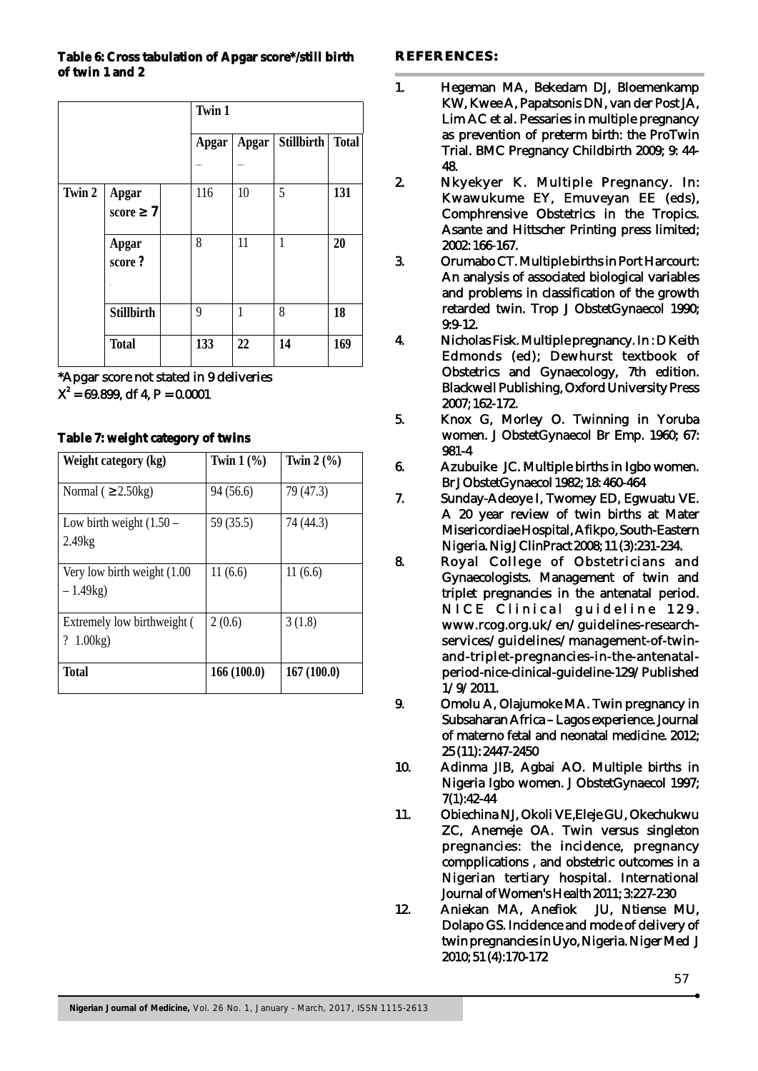#### **Table 6: Cross tabulation of Apgar score\*/still birth of twin 1 and 2**

|        |                     | Twin 1 |        |                    |              |
|--------|---------------------|--------|--------|--------------------|--------------|
|        |                     | Apgar  |        | Apgar   Stillbirth | <b>Total</b> |
|        |                     |        | som 77 |                    |              |
| Twin 2 | Apgar<br>7<br>score | 116    | 10     | 5                  | 131          |
|        | Apgar<br>score?     | 8      | 11     | 1                  | 20           |
|        | <b>Stillbirth</b>   | 9      | 1      | 8                  | 18           |
|        | <b>Total</b>        | 133    | 22     | 14                 | 169          |

\*Apgar score not stated in 9 deliveries  $X^2 = 69.899$ , df 4, P = 0.0001

## **Table 7: weight category of twins**

| Weight category (kg)                        | Twin $1\left(\frac{9}{6}\right)$ | Twin $2\left(\frac{9}{6}\right)$ |
|---------------------------------------------|----------------------------------|----------------------------------|
| $2.50$ kg)<br>Normal (                      | 94 (56.6)                        | 79 (47.3)                        |
| Low birth weight $(1.50 -$<br>2.49kg        | 59 (35.5)                        | 74 (44.3)                        |
| Very low birth weight (1.00)<br>$-1.49kg$   | 11(6.6)                          | 11(6.6)                          |
| Extremely low birthweight (<br>1.00kg)<br>? | 2(0.6)                           | 3(1.8)                           |
| <b>Total</b>                                | 166(100.0)                       | 167(100.0)                       |

## **REFERENCES:**

- 1. Hegeman MA, Bekedam DJ, Bloemenkamp KW, Kwee A, Papatsonis DN, van der Post JA, Lim AC et al. Pessaries in multiple pregnancy as prevention of preterm birth: the ProTwin Trial. BMC Pregnancy Childbirth 2009; 9: 44- 48.
- 2. Nkyekyer K. Multiple Pregnancy. In: Kwawukume EY, Emuveyan EE (eds), Comphrensive Obstetrics in the Tropics. Asante and Hittscher Printing press limited; 2002: 166-167.
- 3. Orumabo CT. Multiple births in Port Harcourt: An analysis of associated biological variables and problems in classification of the growth retarded twin. Trop J ObstetGynaecol 1990; 9:9-12.
- 4. Nicholas Fisk. Multiple pregnancy. In : D Keith Edmonds (ed); Dewhurst textbook of Obstetrics and Gynaecology, 7th edition. Blackwell Publishing, Oxford University Press 2007; 162-172.
- 5. Knox G, Morley O. Twinning in Yoruba women. J ObstetGynaecol Br Emp. 1960; 67: 981-4
- 6. Azubuike JC. Multiple births in Igbo women. Br J ObstetGynaecol 1982; 18: 460-464
- 7. Sunday-Adeoye I, Twomey ED, Egwuatu VE. A 20 year review of twin births at Mater Misericordiae Hospital, Afikpo, South-Eastern Nigeria. Nig J ClinPract 2008; 11 (3):231-234.
- 8. Royal College of Obstetricians and Gynaecologists. Management of twin and triplet pregnancies in the antenatal period. NICE Clinical guideline 129. www.rcog.org.uk/en/guidelines-researchservices/guidelines/management-of-twinand-triplet-pregnancies-in-the-antenatalperiod-nice-clinical-guideline-129/Published 1/9/2011.
- 9. Omolu A, Olajumoke MA. Twin pregnancy in Subsaharan Africa – Lagos experience. Journal of materno fetal and neonatal medicine. 2012; 25 (11): 2447-2450
- 10. Adinma JIB, Agbai AO. Multiple births in Nigeria Igbo women. J ObstetGynaecol 1997; 7(1):42-44
- 11. Obiechina NJ, Okoli VE,Eleje GU, Okechukwu ZC, Anemeje OA. Twin versus singleton pregnancies: the incidence, pregnancy compplications , and obstetric outcomes in a Nigerian tertiary hospital. International Journal of Women's Health 2011; 3:227-230
- 12. Aniekan MA, Anefiok JU, Ntiense MU, Dolapo GS. Incidence and mode of delivery of twin pregnancies in Uyo, Nigeria. Niger Med J 2010; 51 (4):170-172